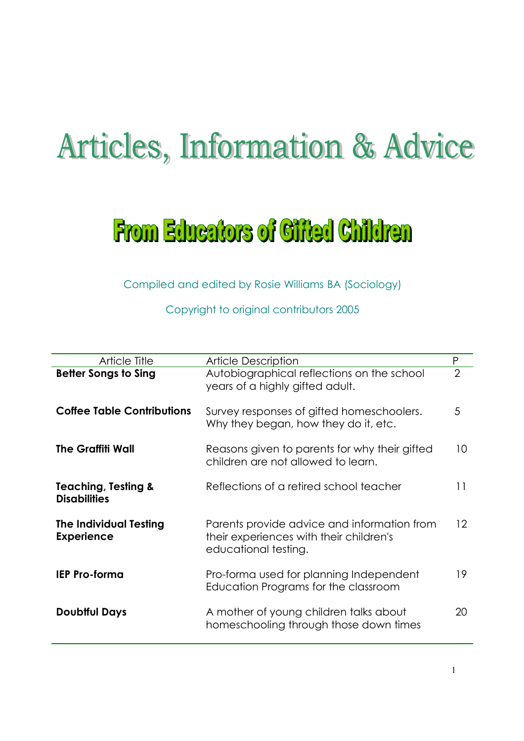# **Articles, Information & Advice**

# **From Educators of Cifted Children**

Compiled and edited by Rosie Williams BA (Sociology)

Copyright to original contributors 2005

| <b>Article Title</b>                                  | <b>Article Description</b>                                                                                     | P               |
|-------------------------------------------------------|----------------------------------------------------------------------------------------------------------------|-----------------|
| <b>Better Songs to Sing</b>                           | Autobiographical reflections on the school<br>years of a highly gifted adult.                                  | $\overline{2}$  |
| <b>Coffee Table Contributions</b>                     | Survey responses of gifted homeschoolers.<br>Why they began, how they do it, etc.                              | 5               |
| <b>The Graffiti Wall</b>                              | Reasons given to parents for why their gifted<br>children are not allowed to learn.                            | 10              |
| <b>Teaching, Testing &amp;</b><br><b>Disabilities</b> | Reflections of a retired school teacher                                                                        | 11              |
| <b>The Individual Testing</b><br><b>Experience</b>    | Parents provide advice and information from<br>their experiences with their children's<br>educational testing. | 12 <sup>°</sup> |
| <b>IEP Pro-forma</b>                                  | Pro-forma used for planning Independent<br>Education Programs for the classroom                                | 19              |
| <b>Doubtful Days</b>                                  | A mother of young children talks about<br>homeschooling through those down times                               | 20              |
|                                                       |                                                                                                                |                 |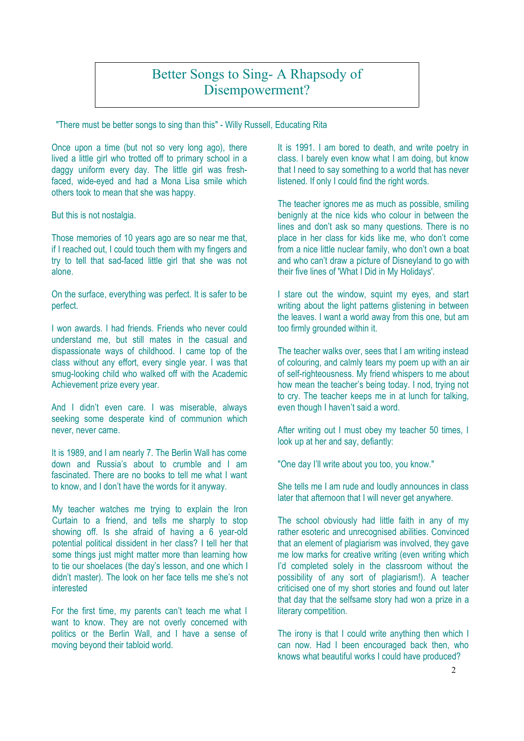#### Copyright Kate O'Toole 2002 Better Songs to Sing- A Rhapsody of Disempowerment?

"There must be better songs to sing than this" - Willy Russell, Educating Rita

Once upon a time (but not so very long ago), there lived a little girl who trotted off to primary school in a daggy uniform every day. The little girl was freshfaced, wide-eyed and had a Mona Lisa smile which others took to mean that she was happy.

But this is not nostalgia.

Those memories of 10 years ago are so near me that, if I reached out, I could touch them with my fingers and try to tell that sad-faced little girl that she was not alone.

On the surface, everything was perfect. It is safer to be perfect.

I won awards. I had friends. Friends who never could understand me, but still mates in the casual and dispassionate ways of childhood. I came top of the class without any effort, every single year. I was that smug-looking child who walked off with the Academic Achievement prize every year.

And I didn't even care. I was miserable, always seeking some desperate kind of communion which never, never came.

It is 1989, and I am nearly 7. The Berlin Wall has come down and Russia's about to crumble and I am fascinated. There are no books to tell me what I want to know, and I don't have the words for it anyway.

My teacher watches me trying to explain the Iron Curtain to a friend, and tells me sharply to stop showing off. Is she afraid of having a 6 year-old potential political dissident in her class? I tell her that some things just might matter more than learning how to tie our shoelaces (the day's lesson, and one which I didn't master). The look on her face tells me she's not interested

For the first time, my parents can't teach me what I want to know. They are not overly concerned with politics or the Berlin Wall, and I have a sense of moving beyond their tabloid world.

It is 1991. I am bored to death, and write poetry in class. I barely even know what I am doing, but know that I need to say something to a world that has never listened. If only I could find the right words.

The teacher ignores me as much as possible, smiling benignly at the nice kids who colour in between the lines and don't ask so many questions. There is no place in her class for kids like me, who don't come from a nice little nuclear family, who don't own a boat and who can't draw a picture of Disneyland to go with their five lines of 'What I Did in My Holidays'.

I stare out the window, squint my eyes, and start writing about the light patterns glistening in between the leaves. I want a world away from this one, but am too firmly grounded within it.

The teacher walks over, sees that I am writing instead of colouring, and calmly tears my poem up with an air of self-righteousness. My friend whispers to me about how mean the teacher's being today. I nod, trying not to cry. The teacher keeps me in at lunch for talking, even though I haven't said a word.

After writing out I must obey my teacher 50 times, I look up at her and say, defiantly:

"One day I'll write about you too, you know."

She tells me I am rude and loudly announces in class later that afternoon that I will never get anywhere.

The school obviously had little faith in any of my rather esoteric and unrecognised abilities. Convinced that an element of plagiarism was involved, they gave me low marks for creative writing (even writing which I'd completed solely in the classroom without the possibility of any sort of plagiarism!). A teacher criticised one of my short stories and found out later that day that the selfsame story had won a prize in a literary competition.

The irony is that I could write anything then which I can now. Had I been encouraged back then, who knows what beautiful works I could have produced?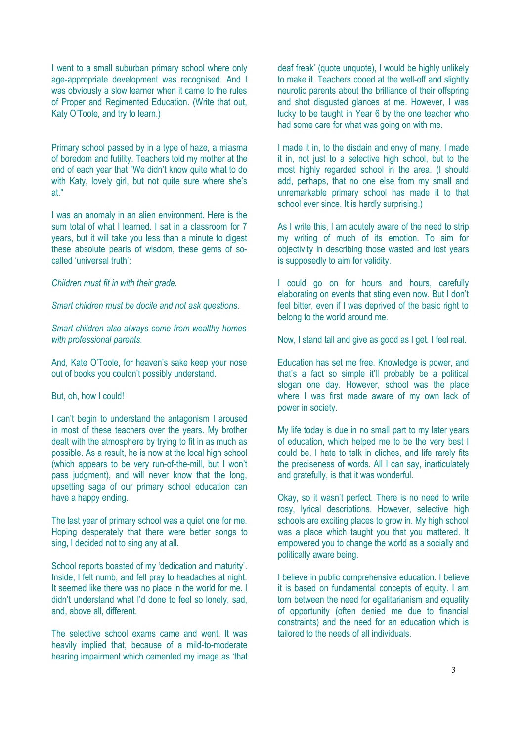I went to a small suburban primary school where only age-appropriate development was recognised. And I was obviously a slow learner when it came to the rules of Proper and Regimented Education. (Write that out, Katy O'Toole, and try to learn.)

Primary school passed by in a type of haze, a miasma of boredom and futility. Teachers told my mother at the end of each year that "We didn't know quite what to do with Katy, lovely girl, but not quite sure where she's at."

I was an anomaly in an alien environment. Here is the sum total of what I learned. I sat in a classroom for 7 years, but it will take you less than a minute to digest these absolute pearls of wisdom, these gems of socalled 'universal truth':

*Children must fit in with their grade.*

*Smart children must be docile and not ask questions.*

*Smart children also always come from wealthy homes with professional parents.*

And, Kate O'Toole, for heaven's sake keep your nose out of books you couldn't possibly understand.

#### But, oh, how I could!

I can't begin to understand the antagonism I aroused in most of these teachers over the years. My brother dealt with the atmosphere by trying to fit in as much as possible. As a result, he is now at the local high school (which appears to be very run-of-the-mill, but I won't pass judgment), and will never know that the long, upsetting saga of our primary school education can have a happy ending.

The last year of primary school was a quiet one for me. Hoping desperately that there were better songs to sing, I decided not to sing any at all.

School reports boasted of my 'dedication and maturity'. Inside, I felt numb, and fell pray to headaches at night. It seemed like there was no place in the world for me. I didn't understand what I'd done to feel so lonely, sad, and, above all, different.

The selective school exams came and went. It was heavily implied that, because of a mild-to-moderate hearing impairment which cemented my image as 'that deaf freak' (quote unquote), I would be highly unlikely to make it. Teachers cooed at the well-off and slightly neurotic parents about the brilliance of their offspring and shot disgusted glances at me. However, I was lucky to be taught in Year 6 by the one teacher who had some care for what was going on with me.

I made it in, to the disdain and envy of many. I made it in, not just to a selective high school, but to the most highly regarded school in the area. (I should add, perhaps, that no one else from my small and unremarkable primary school has made it to that school ever since. It is hardly surprising.)

As I write this, I am acutely aware of the need to strip my writing of much of its emotion. To aim for objectivity in describing those wasted and lost years is supposedly to aim for validity.

I could go on for hours and hours, carefully elaborating on events that sting even now. But I don't feel bitter, even if I was deprived of the basic right to belong to the world around me.

Now, I stand tall and give as good as I get. I feel real.

Education has set me free. Knowledge is power, and that's a fact so simple it'll probably be a political slogan one day. However, school was the place where I was first made aware of my own lack of power in society.

My life today is due in no small part to my later years of education, which helped me to be the very best I could be. I hate to talk in cliches, and life rarely fits the preciseness of words. All I can say, inarticulately and gratefully, is that it was wonderful.

Okay, so it wasn't perfect. There is no need to write rosy, lyrical descriptions. However, selective high schools are exciting places to grow in. My high school was a place which taught you that you mattered. It empowered you to change the world as a socially and politically aware being.

I believe in public comprehensive education. I believe it is based on fundamental concepts of equity. I am torn between the need for egalitarianism and equality of opportunity (often denied me due to financial constraints) and the need for an education which is tailored to the needs of all individuals.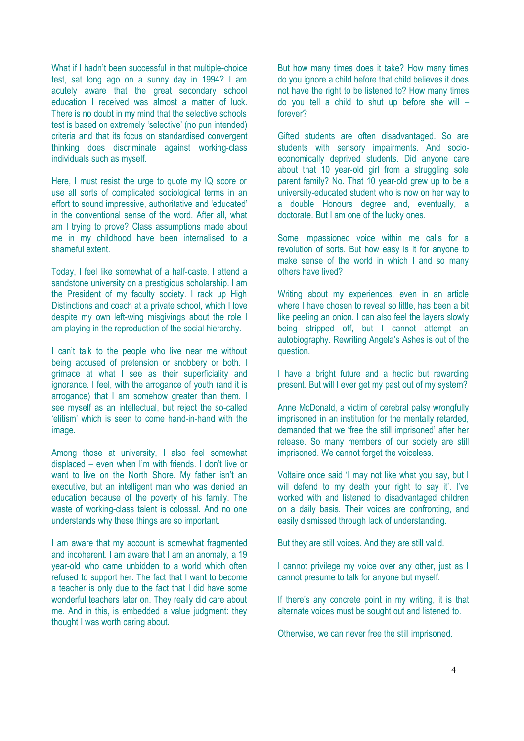What if I hadn't been successful in that multiple-choice test, sat long ago on a sunny day in 1994? I am acutely aware that the great secondary school education I received was almost a matter of luck. There is no doubt in my mind that the selective schools test is based on extremely 'selective' (no pun intended) criteria and that its focus on standardised convergent thinking does discriminate against working-class individuals such as myself.

Here, I must resist the urge to quote my IQ score or use all sorts of complicated sociological terms in an effort to sound impressive, authoritative and 'educated' in the conventional sense of the word. After all, what am I trying to prove? Class assumptions made about me in my childhood have been internalised to a shameful extent.

Today, I feel like somewhat of a half-caste. I attend a sandstone university on a prestigious scholarship. I am the President of my faculty society. I rack up High Distinctions and coach at a private school, which I love despite my own left-wing misgivings about the role I am playing in the reproduction of the social hierarchy.

I can't talk to the people who live near me without being accused of pretension or snobbery or both. I grimace at what I see as their superficiality and ignorance. I feel, with the arrogance of youth (and it is arrogance) that I am somehow greater than them. I see myself as an intellectual, but reject the so-called 'elitism' which is seen to come hand-in-hand with the image.

Among those at university, I also feel somewhat displaced – even when I'm with friends. I don't live or want to live on the North Shore. My father isn't an executive, but an intelligent man who was denied an education because of the poverty of his family. The waste of working-class talent is colossal. And no one understands why these things are so important.

I am aware that my account is somewhat fragmented and incoherent. I am aware that I am an anomaly, a 19 year-old who came unbidden to a world which often refused to support her. The fact that I want to become a teacher is only due to the fact that I did have some wonderful teachers later on. They really did care about me. And in this, is embedded a value judgment: they thought I was worth caring about.

But how many times does it take? How many times do you ignore a child before that child believes it does not have the right to be listened to? How many times do you tell a child to shut up before she will – forever?

Gifted students are often disadvantaged. So are students with sensory impairments. And socioeconomically deprived students. Did anyone care about that 10 year-old girl from a struggling sole parent family? No. That 10 year-old grew up to be a university-educated student who is now on her way to a double Honours degree and, eventually, a doctorate. But I am one of the lucky ones.

Some impassioned voice within me calls for a revolution of sorts. But how easy is it for anyone to make sense of the world in which I and so many others have lived?

Writing about my experiences, even in an article where I have chosen to reveal so little, has been a bit like peeling an onion. I can also feel the layers slowly being stripped off, but I cannot attempt an autobiography. Rewriting Angela's Ashes is out of the question.

I have a bright future and a hectic but rewarding present. But will I ever get my past out of my system?

Anne McDonald, a victim of cerebral palsy wrongfully imprisoned in an institution for the mentally retarded, demanded that we 'free the still imprisoned' after her release. So many members of our society are still imprisoned. We cannot forget the voiceless.

Voltaire once said 'I may not like what you say, but I will defend to my death your right to say it'. I've worked with and listened to disadvantaged children on a daily basis. Their voices are confronting, and easily dismissed through lack of understanding.

But they are still voices. And they are still valid.

I cannot privilege my voice over any other, just as I cannot presume to talk for anyone but myself.

If there's any concrete point in my writing, it is that alternate voices must be sought out and listened to.

Otherwise, we can never free the still imprisoned.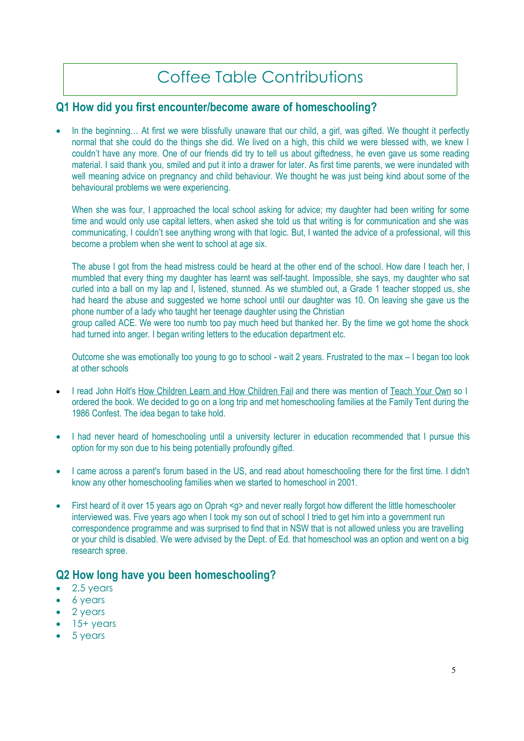# Coffee Table Contributions

#### **Q1 How did you first encounter/become aware of homeschooling?**

In the beginning… At first we were blissfully unaware that our child, a girl, was gifted. We thought it perfectly normal that she could do the things she did. We lived on a high, this child we were blessed with, we knew I couldn't have any more. One of our friends did try to tell us about giftedness, he even gave us some reading material. I said thank you, smiled and put it into a drawer for later. As first time parents, we were inundated with well meaning advice on pregnancy and child behaviour. We thought he was just being kind about some of the behavioural problems we were experiencing.

When she was four. I approached the local school asking for advice; my daughter had been writing for some time and would only use capital letters, when asked she told us that writing is for communication and she was communicating, I couldn't see anything wrong with that logic. But, I wanted the advice of a professional, will this become a problem when she went to school at age six.

The abuse I got from the head mistress could be heard at the other end of the school. How dare I teach her, I mumbled that every thing my daughter has learnt was self-taught. Impossible, she says, my daughter who sat curled into a ball on my lap and I, listened, stunned. As we stumbled out, a Grade 1 teacher stopped us, she had heard the abuse and suggested we home school until our daughter was 10. On leaving she gave us the phone number of a lady who taught her teenage daughter using the Christian

group called ACE. We were too numb too pay much heed but thanked her. By the time we got home the shock had turned into anger. I began writing letters to the education department etc.

Outcome she was emotionally too young to go to school - wait 2 years. Frustrated to the max – I began too look at other schools

- I read John Holt's How Children Learn and How Children Fail and there was mention of Teach Your Own so I ordered the book. We decided to go on a long trip and met homeschooling families at the Family Tent during the 1986 Confest. The idea began to take hold.
- I had never heard of homeschooling until a university lecturer in education recommended that I pursue this option for my son due to his being potentially profoundly gifted.
- I came across a parent's forum based in the US, and read about homeschooling there for the first time. I didn't know any other homeschooling families when we started to homeschool in 2001.
- First heard of it over 15 years ago on Oprah <q> and never really forgot how different the little homeschooler interviewed was. Five years ago when I took my son out of school I tried to get him into a government run correspondence programme and was surprised to find that in NSW that is not allowed unless you are travelling or your child is disabled. We were advised by the Dept. of Ed. that homeschool was an option and went on a big research spree.

## **Q2 How long have you been homeschooling?**

- 2.5 years
- 6 years
- 2 years
- 15+ years
- 5 years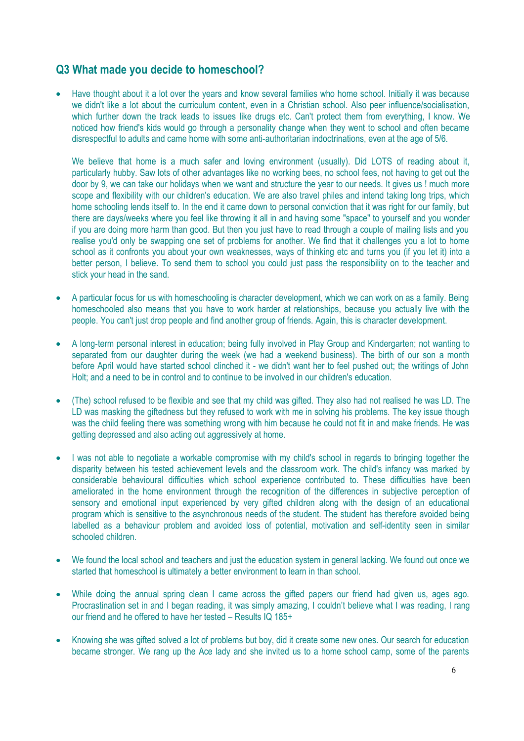## **Q3 What made you decide to homeschool?**

• Have thought about it a lot over the years and know several families who home school. Initially it was because we didn't like a lot about the curriculum content, even in a Christian school. Also peer influence/socialisation, which further down the track leads to issues like drugs etc. Can't protect them from everything, I know. We noticed how friend's kids would go through a personality change when they went to school and often became disrespectful to adults and came home with some anti-authoritarian indoctrinations, even at the age of 5/6.

We believe that home is a much safer and loving environment (usually). Did LOTS of reading about it, particularly hubby. Saw lots of other advantages like no working bees, no school fees, not having to get out the door by 9, we can take our holidays when we want and structure the year to our needs. It gives us ! much more scope and flexibility with our children's education. We are also travel philes and intend taking long trips, which home schooling lends itself to. In the end it came down to personal conviction that it was right for our family, but there are days/weeks where you feel like throwing it all in and having some "space" to yourself and you wonder if you are doing more harm than good. But then you just have to read through a couple of mailing lists and you realise you'd only be swapping one set of problems for another. We find that it challenges you a lot to home school as it confronts you about your own weaknesses, ways of thinking etc and turns you (if you let it) into a better person, I believe. To send them to school you could just pass the responsibility on to the teacher and stick your head in the sand.

- A particular focus for us with homeschooling is character development, which we can work on as a family. Being homeschooled also means that you have to work harder at relationships, because you actually live with the people. You can't just drop people and find another group of friends. Again, this is character development.
- A long-term personal interest in education; being fully involved in Play Group and Kindergarten; not wanting to separated from our daughter during the week (we had a weekend business). The birth of our son a month before April would have started school clinched it - we didn't want her to feel pushed out; the writings of John Holt; and a need to be in control and to continue to be involved in our children's education.
- (The) school refused to be flexible and see that my child was gifted. They also had not realised he was LD. The LD was masking the giftedness but they refused to work with me in solving his problems. The key issue though was the child feeling there was something wrong with him because he could not fit in and make friends. He was getting depressed and also acting out aggressively at home.
- I was not able to negotiate a workable compromise with my child's school in regards to bringing together the disparity between his tested achievement levels and the classroom work. The child's infancy was marked by considerable behavioural difficulties which school experience contributed to. These difficulties have been ameliorated in the home environment through the recognition of the differences in subjective perception of sensory and emotional input experienced by very gifted children along with the design of an educational program which is sensitive to the asynchronous needs of the student. The student has therefore avoided being labelled as a behaviour problem and avoided loss of potential, motivation and self-identity seen in similar schooled children.
- We found the local school and teachers and just the education system in general lacking. We found out once we started that homeschool is ultimately a better environment to learn in than school.
- While doing the annual spring clean I came across the gifted papers our friend had given us, ages ago. Procrastination set in and I began reading, it was simply amazing, I couldn't believe what I was reading, I rang our friend and he offered to have her tested – Results IQ 185+
- Knowing she was gifted solved a lot of problems but boy, did it create some new ones. Our search for education became stronger. We rang up the Ace lady and she invited us to a home school camp, some of the parents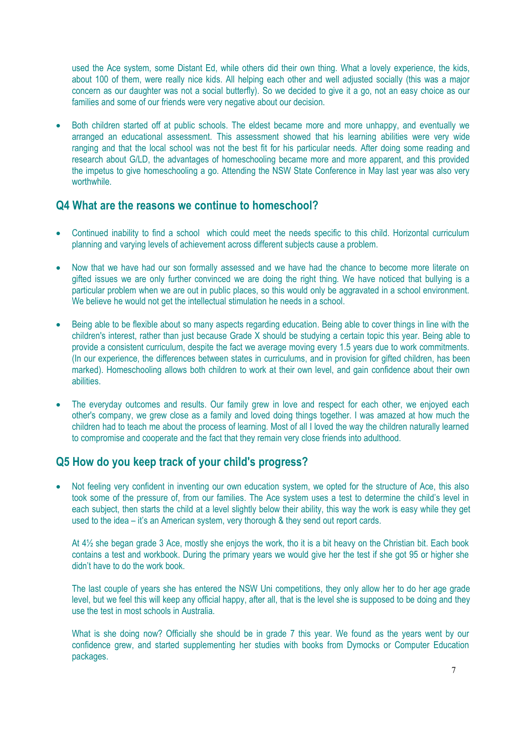used the Ace system, some Distant Ed, while others did their own thing. What a lovely experience, the kids, about 100 of them, were really nice kids. All helping each other and well adjusted socially (this was a major concern as our daughter was not a social butterfly). So we decided to give it a go, not an easy choice as our families and some of our friends were very negative about our decision.

• Both children started off at public schools. The eldest became more and more unhappy, and eventually we arranged an educational assessment. This assessment showed that his learning abilities were very wide ranging and that the local school was not the best fit for his particular needs. After doing some reading and research about G/LD, the advantages of homeschooling became more and more apparent, and this provided the impetus to give homeschooling a go. Attending the NSW State Conference in May last year was also very worthwhile.

#### **Q4 What are the reasons we continue to homeschool?**

- Continued inability to find a school which could meet the needs specific to this child. Horizontal curriculum planning and varying levels of achievement across different subjects cause a problem.
- Now that we have had our son formally assessed and we have had the chance to become more literate on gifted issues we are only further convinced we are doing the right thing. We have noticed that bullying is a particular problem when we are out in public places, so this would only be aggravated in a school environment. We believe he would not get the intellectual stimulation he needs in a school.
- Being able to be flexible about so many aspects regarding education. Being able to cover things in line with the children's interest, rather than just because Grade X should be studying a certain topic this year. Being able to provide a consistent curriculum, despite the fact we average moving every 1.5 years due to work commitments. (In our experience, the differences between states in curriculums, and in provision for gifted children, has been marked). Homeschooling allows both children to work at their own level, and gain confidence about their own abilities.
- The everyday outcomes and results. Our family grew in love and respect for each other, we enjoyed each other's company, we grew close as a family and loved doing things together. I was amazed at how much the children had to teach me about the process of learning. Most of all I loved the way the children naturally learned to compromise and cooperate and the fact that they remain very close friends into adulthood.

## **Q5 How do you keep track of your child's progress?**

• Not feeling very confident in inventing our own education system, we opted for the structure of Ace, this also took some of the pressure of, from our families. The Ace system uses a test to determine the child's level in each subject, then starts the child at a level slightly below their ability, this way the work is easy while they get used to the idea – it's an American system, very thorough & they send out report cards.

At 4½ she began grade 3 Ace, mostly she enjoys the work, tho it is a bit heavy on the Christian bit. Each book contains a test and workbook. During the primary years we would give her the test if she got 95 or higher she didn't have to do the work book.

The last couple of years she has entered the NSW Uni competitions, they only allow her to do her age grade level, but we feel this will keep any official happy, after all, that is the level she is supposed to be doing and they use the test in most schools in Australia.

What is she doing now? Officially she should be in grade 7 this year. We found as the years went by our confidence grew, and started supplementing her studies with books from Dymocks or Computer Education packages.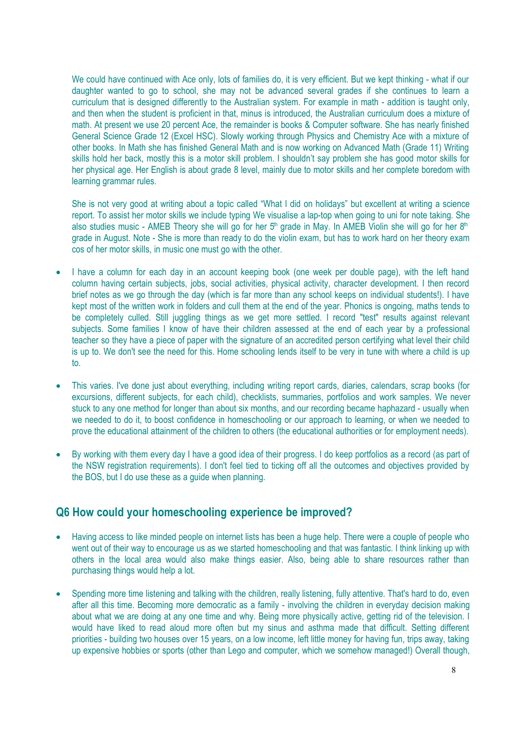We could have continued with Ace only, lots of families do, it is very efficient. But we kept thinking - what if our daughter wanted to go to school, she may not be advanced several grades if she continues to learn a curriculum that is designed differently to the Australian system. For example in math - addition is taught only, and then when the student is proficient in that, minus is introduced, the Australian curriculum does a mixture of math. At present we use 20 percent Ace, the remainder is books & Computer software. She has nearly finished General Science Grade 12 (Excel HSC). Slowly working through Physics and Chemistry Ace with a mixture of other books. In Math she has finished General Math and is now working on Advanced Math (Grade 11) Writing skills hold her back, mostly this is a motor skill problem. I shouldn't say problem she has good motor skills for her physical age. Her English is about grade 8 level, mainly due to motor skills and her complete boredom with learning grammar rules.

She is not very good at writing about a topic called "What I did on holidays" but excellent at writing a science report. To assist her motor skills we include typing We visualise a lap-top when going to uni for note taking. She also studies music - AMEB Theory she will go for her 5<sup>th</sup> grade in May. In AMEB Violin she will go for her 8<sup>th</sup> grade in August. Note - She is more than ready to do the violin exam, but has to work hard on her theory exam cos of her motor skills, in music one must go with the other.

- I have a column for each day in an account keeping book (one week per double page), with the left hand column having certain subjects, jobs, social activities, physical activity, character development. I then record brief notes as we go through the day (which is far more than any school keeps on individual students!). I have kept most of the written work in folders and cull them at the end of the year. Phonics is ongoing, maths tends to be completely culled. Still juggling things as we get more settled. I record "test" results against relevant subjects. Some families I know of have their children assessed at the end of each year by a professional teacher so they have a piece of paper with the signature of an accredited person certifying what level their child is up to. We don't see the need for this. Home schooling lends itself to be very in tune with where a child is up to.
- This varies. I've done just about everything, including writing report cards, diaries, calendars, scrap books (for excursions, different subjects, for each child), checklists, summaries, portfolios and work samples. We never stuck to any one method for longer than about six months, and our recording became haphazard - usually when we needed to do it, to boost confidence in homeschooling or our approach to learning, or when we needed to prove the educational attainment of the children to others (the educational authorities or for employment needs).
- By working with them every day I have a good idea of their progress. I do keep portfolios as a record (as part of the NSW registration requirements). I don't feel tied to ticking off all the outcomes and objectives provided by the BOS, but I do use these as a guide when planning.

## **Q6 How could your homeschooling experience be improved?**

- Having access to like minded people on internet lists has been a huge help. There were a couple of people who went out of their way to encourage us as we started homeschooling and that was fantastic. I think linking up with others in the local area would also make things easier. Also, being able to share resources rather than purchasing things would help a lot.
- Spending more time listening and talking with the children, really listening, fully attentive. That's hard to do, even after all this time. Becoming more democratic as a family - involving the children in everyday decision making about what we are doing at any one time and why. Being more physically active, getting rid of the television. I would have liked to read aloud more often but my sinus and asthma made that difficult. Setting different priorities - building two houses over 15 years, on a low income, left little money for having fun, trips away, taking up expensive hobbies or sports (other than Lego and computer, which we somehow managed!) Overall though,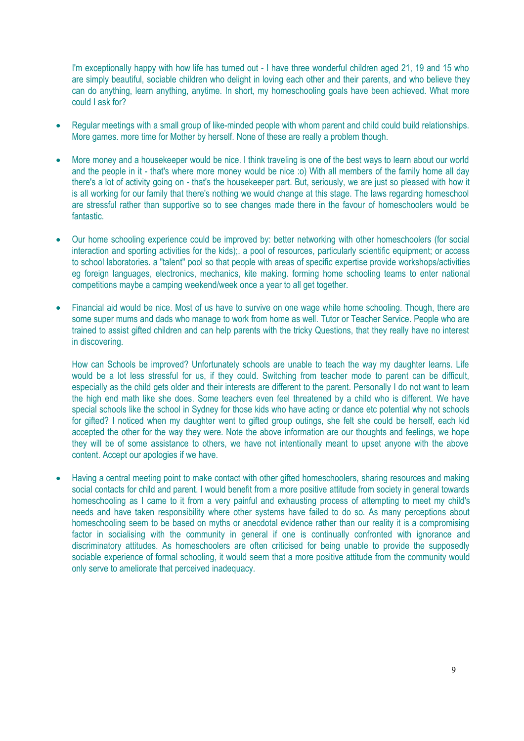I'm exceptionally happy with how life has turned out - I have three wonderful children aged 21, 19 and 15 who are simply beautiful, sociable children who delight in loving each other and their parents, and who believe they can do anything, learn anything, anytime. In short, my homeschooling goals have been achieved. What more could I ask for?

- Regular meetings with a small group of like-minded people with whom parent and child could build relationships. More games. more time for Mother by herself. None of these are really a problem though.
- More money and a housekeeper would be nice. I think traveling is one of the best ways to learn about our world and the people in it - that's where more money would be nice :o) With all members of the family home all day there's a lot of activity going on - that's the housekeeper part. But, seriously, we are just so pleased with how it is all working for our family that there's nothing we would change at this stage. The laws regarding homeschool are stressful rather than supportive so to see changes made there in the favour of homeschoolers would be fantastic.
- Our home schooling experience could be improved by: better networking with other homeschoolers (for social interaction and sporting activities for the kids);. a pool of resources, particularly scientific equipment; or access to school laboratories. a "talent" pool so that people with areas of specific expertise provide workshops/activities eg foreign languages, electronics, mechanics, kite making. forming home schooling teams to enter national competitions maybe a camping weekend/week once a year to all get together.
- Financial aid would be nice. Most of us have to survive on one wage while home schooling. Though, there are some super mums and dads who manage to work from home as well. Tutor or Teacher Service. People who are trained to assist gifted children and can help parents with the tricky Questions, that they really have no interest in discovering.

How can Schools be improved? Unfortunately schools are unable to teach the way my daughter learns. Life would be a lot less stressful for us, if they could. Switching from teacher mode to parent can be difficult, especially as the child gets older and their interests are different to the parent. Personally I do not want to learn the high end math like she does. Some teachers even feel threatened by a child who is different. We have special schools like the school in Sydney for those kids who have acting or dance etc potential why not schools for gifted? I noticed when my daughter went to gifted group outings, she felt she could be herself, each kid accepted the other for the way they were. Note the above information are our thoughts and feelings, we hope they will be of some assistance to others, we have not intentionally meant to upset anyone with the above content. Accept our apologies if we have.

 Having a central meeting point to make contact with other gifted homeschoolers, sharing resources and making social contacts for child and parent. I would benefit from a more positive attitude from society in general towards homeschooling as I came to it from a very painful and exhausting process of attempting to meet my child's needs and have taken responsibility where other systems have failed to do so. As many perceptions about homeschooling seem to be based on myths or anecdotal evidence rather than our reality it is a compromising factor in socialising with the community in general if one is continually confronted with ignorance and discriminatory attitudes. As homeschoolers are often criticised for being unable to provide the supposedly sociable experience of formal schooling, it would seem that a more positive attitude from the community would only serve to ameliorate that perceived inadequacy.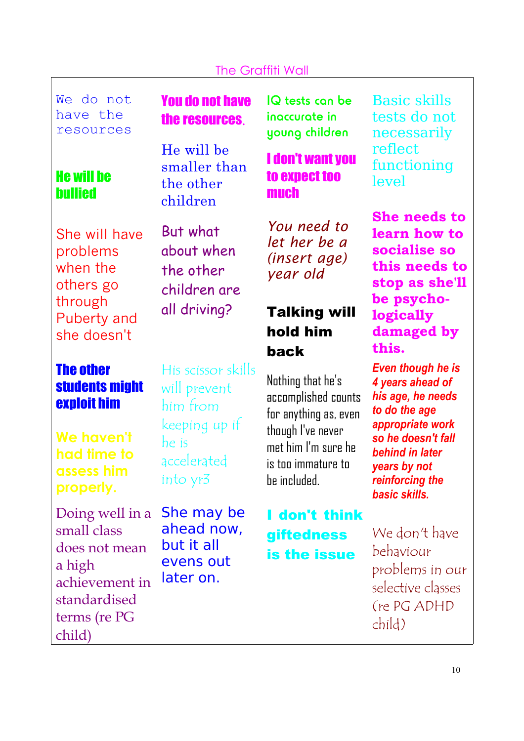## The Graffiti Wall

We do not have the resources

## He will be bullied

She will have problems when the others go through Puberty and she doesn't

The other students might exploit him

**We haven't had time to assess him properly.**

Doing well in a small class does not mean a high achievement in standardised terms (re PG child)

You do not have the resources.

He will be smaller than the other children

But what about when the other children are all driving?

His scissor skills will prevent him from keeping up if he is accelerated into yr3

She may be ahead now, but it all evens out later on.

IQ tests can be inaccurate in young children

## I don't want you to expect too much

*You need to let her be a (insert age) year old*

# Talking will hold him back

Nothing that he's accomplished counts for anything as, even though I've never met him I'm sure he is too immature to be included.

I don't think giftedness is the issue

Basic skills tests do not necessarily reflect functioning level

**She needs to learn how to socialise so this needs to stop as she'll be psychologically damaged by this.**

*Even though he is 4 years ahead of his age, he needs to do the age appropriate work so he doesn't fall behind in later years by not reinforcing the basic skills.*

We don't have behaviour problems in our selective classes (re PG ADHD child)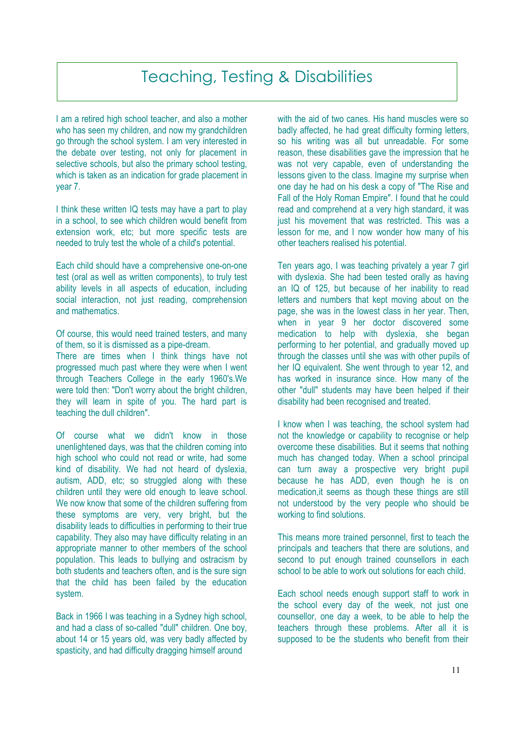# Teaching, Testing & Disabilities

I am a retired high school teacher, and also a mother who has seen my children, and now my grandchildren go through the school system. I am very interested in the debate over testing, not only for placement in selective schools, but also the primary school testing, which is taken as an indication for grade placement in year 7.

I think these written IQ tests may have a part to play in a school, to see which children would benefit from extension work, etc; but more specific tests are needed to truly test the whole of a child's potential.

Each child should have a comprehensive one-on-one test (oral as well as written components), to truly test ability levels in all aspects of education, including social interaction, not just reading, comprehension and mathematics.

Of course, this would need trained testers, and many of them, so it is dismissed as a pipe-dream.

There are times when I think things have not progressed much past where they were when I went through Teachers College in the early 1960's.We were told then: "Don't worry about the bright children, they will learn in spite of you. The hard part is teaching the dull children".

Of course what we didn't know in those unenlightened days, was that the children coming into high school who could not read or write, had some kind of disability. We had not heard of dyslexia, autism, ADD, etc; so struggled along with these children until they were old enough to leave school. We now know that some of the children suffering from these symptoms are very, very bright, but the disability leads to difficulties in performing to their true capability. They also may have difficulty relating in an appropriate manner to other members of the school population. This leads to bullying and ostracism by both students and teachers often, and is the sure sign that the child has been failed by the education system.

Back in 1966 I was teaching in a Sydney high school, and had a class of so-called "dull" children. One boy, about 14 or 15 years old, was very badly affected by spasticity, and had difficulty dragging himself around

with the aid of two canes. His hand muscles were so badly affected, he had great difficulty forming letters. so his writing was all but unreadable. For some reason, these disabilities gave the impression that he was not very capable, even of understanding the lessons given to the class. Imagine my surprise when one day he had on his desk a copy of "The Rise and Fall of the Holy Roman Empire". I found that he could read and comprehend at a very high standard, it was just his movement that was restricted. This was a lesson for me, and I now wonder how many of his other teachers realised his potential.

Ten years ago, I was teaching privately a year 7 girl with dyslexia. She had been tested orally as having an IQ of 125, but because of her inability to read letters and numbers that kept moving about on the page, she was in the lowest class in her year. Then, when in year 9 her doctor discovered some medication to help with dyslexia, she began performing to her potential, and gradually moved up through the classes until she was with other pupils of her IQ equivalent. She went through to year 12, and has worked in insurance since. How many of the other "dull" students may have been helped if their disability had been recognised and treated.

I know when I was teaching, the school system had not the knowledge or capability to recognise or help overcome these disabilities. But it seems that nothing much has changed today. When a school principal can turn away a prospective very bright pupil because he has ADD, even though he is on medication,it seems as though these things are still not understood by the very people who should be working to find solutions.

This means more trained personnel, first to teach the principals and teachers that there are solutions, and second to put enough trained counsellors in each school to be able to work out solutions for each child.

Each school needs enough support staff to work in the school every day of the week, not just one counsellor, one day a week, to be able to help the teachers through these problems. After all it is supposed to be the students who benefit from their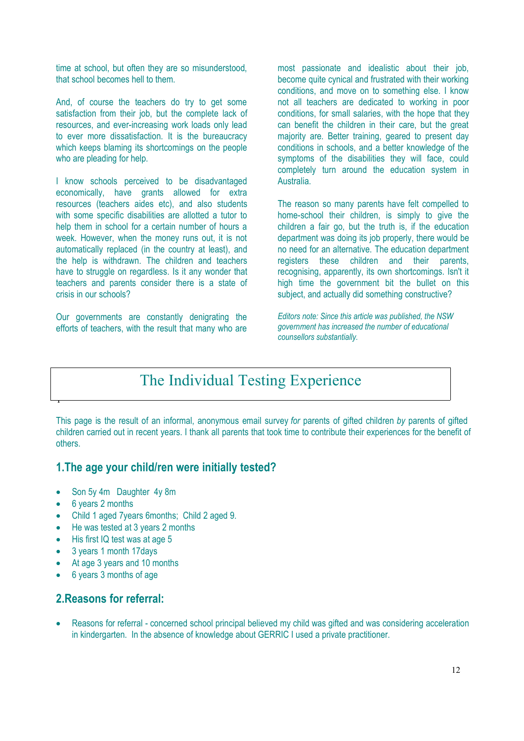time at school, but often they are so misunderstood, that school becomes hell to them.

And, of course the teachers do try to get some satisfaction from their job, but the complete lack of resources, and ever-increasing work loads only lead to ever more dissatisfaction. It is the bureaucracy which keeps blaming its shortcomings on the people who are pleading for help.

I know schools perceived to be disadvantaged economically, have grants allowed for extra resources (teachers aides etc), and also students with some specific disabilities are allotted a tutor to help them in school for a certain number of hours a week. However, when the money runs out, it is not automatically replaced (in the country at least), and the help is withdrawn. The children and teachers have to struggle on regardless. Is it any wonder that teachers and parents consider there is a state of crisis in our schools?

Our governments are constantly denigrating the efforts of teachers, with the result that many who are most passionate and idealistic about their job, become quite cynical and frustrated with their working conditions, and move on to something else. I know not all teachers are dedicated to working in poor conditions, for small salaries, with the hope that they can benefit the children in their care, but the great majority are. Better training, geared to present day conditions in schools, and a better knowledge of the symptoms of the disabilities they will face, could completely turn around the education system in Australia.

The reason so many parents have felt compelled to home-school their children, is simply to give the children a fair go, but the truth is, if the education department was doing its job properly, there would be no need for an alternative. The education department registers these children and their parents, recognising, apparently, its own shortcomings. Isn't it high time the government bit the bullet on this subject, and actually did something constructive?

*Editors note: Since this article was published, the NSW government has increased the number of educational counsellors substantially.*

# The Individual Testing Experience

This page is the result of an informal, anonymous email survey *for* parents of gifted children *by* parents of gifted children carried out in recent years. I thank all parents that took time to contribute their experiences for the benefit of others.

#### **1.The age your child/ren were initially tested?**

- Son 5y 4m Daughter 4y 8m
- 6 years 2 months

T

- Child 1 aged 7years 6months; Child 2 aged 9.
- He was tested at 3 years 2 months
- His first IQ test was at age 5
- 3 years 1 month 17days
- At age 3 years and 10 months
- 6 years 3 months of age

#### **2.Reasons for referral:**

 Reasons for referral - concerned school principal believed my child was gifted and was considering acceleration in kindergarten. In the absence of knowledge about GERRIC I used a private practitioner.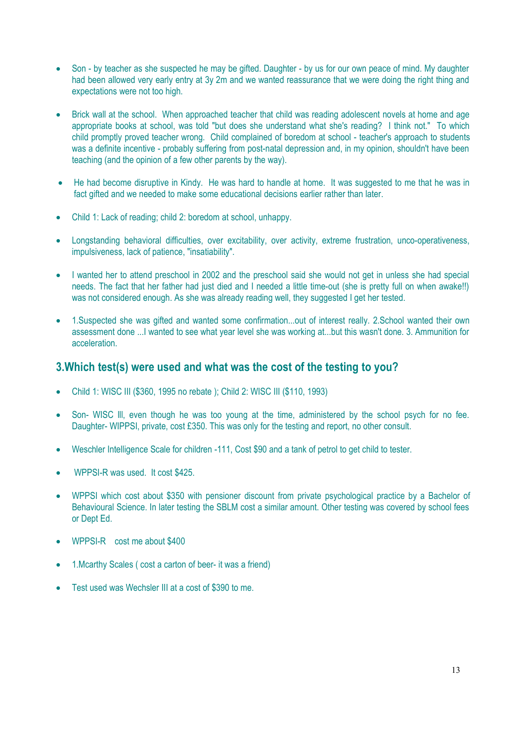- Son by teacher as she suspected he may be gifted. Daughter by us for our own peace of mind. My daughter had been allowed very early entry at 3y 2m and we wanted reassurance that we were doing the right thing and expectations were not too high.
- Brick wall at the school. When approached teacher that child was reading adolescent novels at home and age appropriate books at school, was told "but does she understand what she's reading? I think not." To which child promptly proved teacher wrong. Child complained of boredom at school - teacher's approach to students was a definite incentive - probably suffering from post-natal depression and, in my opinion, shouldn't have been teaching (and the opinion of a few other parents by the way).
- He had become disruptive in Kindy. He was hard to handle at home. It was suggested to me that he was in fact gifted and we needed to make some educational decisions earlier rather than later.
- Child 1: Lack of reading; child 2: boredom at school, unhappy.
- Longstanding behavioral difficulties, over excitability, over activity, extreme frustration, unco-operativeness, impulsiveness, lack of patience, "insatiability".
- I wanted her to attend preschool in 2002 and the preschool said she would not get in unless she had special needs. The fact that her father had just died and I needed a little time-out (she is pretty full on when awake!!) was not considered enough. As she was already reading well, they suggested I get her tested.
- 1.Suspected she was gifted and wanted some confirmation...out of interest really. 2.School wanted their own assessment done ...I wanted to see what year level she was working at...but this wasn't done. 3. Ammunition for acceleration.

#### **3.Which test(s) were used and what was the cost of the testing to you?**

- Child 1: WISC III (\$360, 1995 no rebate ); Child 2: WISC III (\$110, 1993)
- Son- WISC lll, even though he was too young at the time, administered by the school psych for no fee. Daughter- WIPPSI, private, cost £350. This was only for the testing and report, no other consult.
- Weschler Intelligence Scale for children -111, Cost \$90 and a tank of petrol to get child to tester.
- WPPSI-R was used. It cost \$425.
- WPPSI which cost about \$350 with pensioner discount from private psychological practice by a Bachelor of Behavioural Science. In later testing the SBLM cost a similar amount. Other testing was covered by school fees or Dept Ed.
- WPPSI-R cost me about \$400
- 1.Mcarthy Scales ( cost a carton of beer- it was a friend)
- Test used was Wechsler III at a cost of \$390 to me.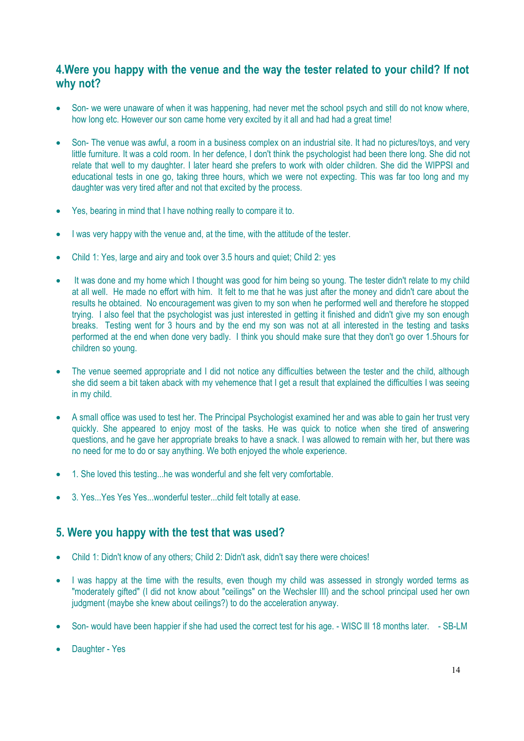#### **4.Were you happy with the venue and the way the tester related to your child? If not why not?**

- Son- we were unaware of when it was happening, had never met the school psych and still do not know where, how long etc. However our son came home very excited by it all and had had a great time!
- Son- The venue was awful, a room in a business complex on an industrial site. It had no pictures/toys, and very little furniture. It was a cold room. In her defence, I don't think the psychologist had been there long. She did not relate that well to my daughter. I later heard she prefers to work with older children. She did the WIPPSI and educational tests in one go, taking three hours, which we were not expecting. This was far too long and my daughter was very tired after and not that excited by the process.
- Yes, bearing in mind that I have nothing really to compare it to.
- I was very happy with the venue and, at the time, with the attitude of the tester.
- Child 1: Yes, large and airy and took over 3.5 hours and quiet; Child 2: yes
- It was done and my home which I thought was good for him being so young. The tester didn't relate to my child at all well. He made no effort with him. It felt to me that he was just after the money and didn't care about the results he obtained. No encouragement was given to my son when he performed well and therefore he stopped trying. I also feel that the psychologist was just interested in getting it finished and didn't give my son enough breaks. Testing went for 3 hours and by the end my son was not at all interested in the testing and tasks performed at the end when done very badly. I think you should make sure that they don't go over 1.5hours for children so young.
- The venue seemed appropriate and I did not notice any difficulties between the tester and the child, although she did seem a bit taken aback with my vehemence that I get a result that explained the difficulties I was seeing in my child.
- A small office was used to test her. The Principal Psychologist examined her and was able to gain her trust very quickly. She appeared to enjoy most of the tasks. He was quick to notice when she tired of answering questions, and he gave her appropriate breaks to have a snack. I was allowed to remain with her, but there was no need for me to do or say anything. We both enjoyed the whole experience.
- 1. She loved this testing...he was wonderful and she felt very comfortable.
- 3. Yes...Yes Yes Yes...wonderful tester...child felt totally at ease.

## **5. Were you happy with the test that was used?**

- Child 1: Didn't know of any others; Child 2: Didn't ask, didn't say there were choices!
- I was happy at the time with the results, even though my child was assessed in strongly worded terms as "moderately gifted" (I did not know about "ceilings" on the Wechsler III) and the school principal used her own judgment (maybe she knew about ceilings?) to do the acceleration anyway.
- Son- would have been happier if she had used the correct test for his age. WISC III 18 months later. SB-LM
- Daughter Yes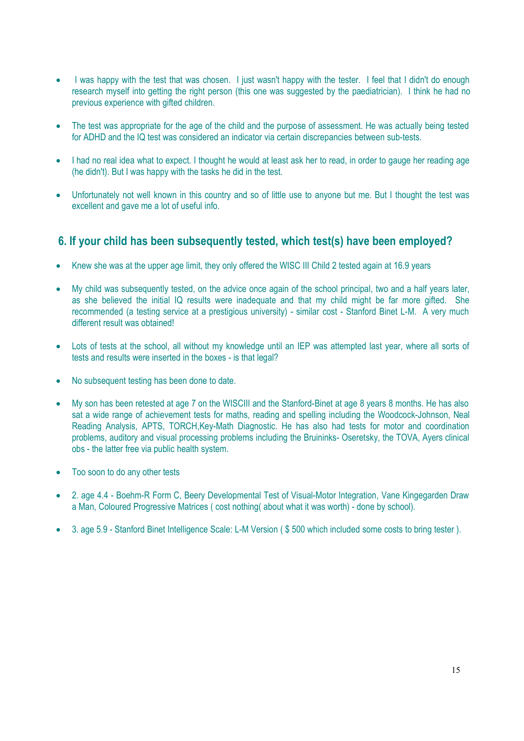- I was happy with the test that was chosen. I just wasn't happy with the tester. I feel that I didn't do enough research myself into getting the right person (this one was suggested by the paediatrician). I think he had no previous experience with gifted children.
- The test was appropriate for the age of the child and the purpose of assessment. He was actually being tested for ADHD and the IQ test was considered an indicator via certain discrepancies between sub-tests.
- I had no real idea what to expect. I thought he would at least ask her to read, in order to gauge her reading age (he didn't). But I was happy with the tasks he did in the test.
- Unfortunately not well known in this country and so of little use to anyone but me. But I thought the test was excellent and gave me a lot of useful info.

## **6. If your child has been subsequently tested, which test(s) have been employed?**

- Knew she was at the upper age limit, they only offered the WISC III Child 2 tested again at 16.9 years
- My child was subsequently tested, on the advice once again of the school principal, two and a half years later, as she believed the initial IQ results were inadequate and that my child might be far more gifted. She recommended (a testing service at a prestigious university) - similar cost - Stanford Binet L-M. A very much different result was obtained!
- Lots of tests at the school, all without my knowledge until an IEP was attempted last year, where all sorts of tests and results were inserted in the boxes - is that legal?
- No subsequent testing has been done to date.
- My son has been retested at age 7 on the WISCIII and the Stanford-Binet at age 8 years 8 months. He has also sat a wide range of achievement tests for maths, reading and spelling including the Woodcock-Johnson, Neal Reading Analysis, APTS, TORCH,Key-Math Diagnostic. He has also had tests for motor and coordination problems, auditory and visual processing problems including the Bruininks- Oseretsky, the TOVA, Ayers clinical obs - the latter free via public health system.
- Too soon to do any other tests
- 2. age 4.4 Boehm-R Form C, Beery Developmental Test of Visual-Motor Integration, Vane Kingegarden Draw a Man, Coloured Progressive Matrices ( cost nothing( about what it was worth) - done by school).
- 3. age 5.9 Stanford Binet Intelligence Scale: L-M Version (\$500 which included some costs to bring tester).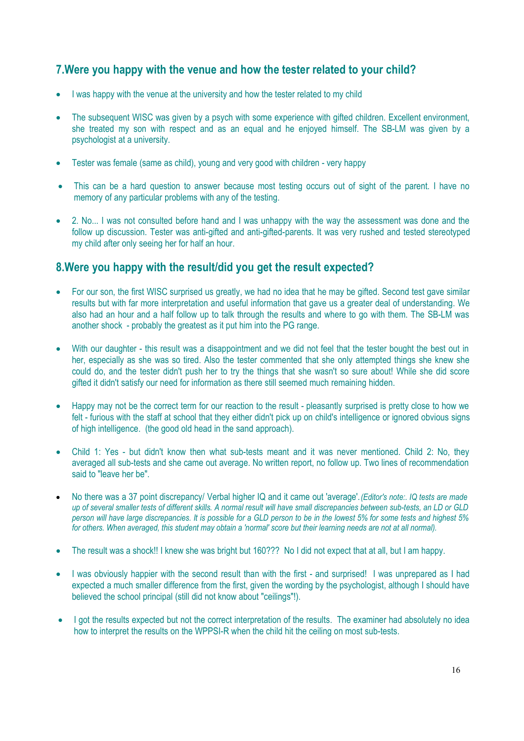## **7.Were you happy with the venue and how the tester related to your child?**

- I was happy with the venue at the university and how the tester related to my child
- The subsequent WISC was given by a psych with some experience with gifted children. Excellent environment, she treated my son with respect and as an equal and he enjoyed himself. The SB-LM was given by a psychologist at a university.
- Tester was female (same as child), young and very good with children very happy
- This can be a hard question to answer because most testing occurs out of sight of the parent. I have no memory of any particular problems with any of the testing.
- 2. No... I was not consulted before hand and I was unhappy with the way the assessment was done and the follow up discussion. Tester was anti-gifted and anti-gifted-parents. It was very rushed and tested stereotyped my child after only seeing her for half an hour.

#### **8.Were you happy with the result/did you get the result expected?**

- For our son, the first WISC surprised us greatly, we had no idea that he may be gifted. Second test gave similar results but with far more interpretation and useful information that gave us a greater deal of understanding. We also had an hour and a half follow up to talk through the results and where to go with them. The SB-LM was another shock - probably the greatest as it put him into the PG range.
- With our daughter this result was a disappointment and we did not feel that the tester bought the best out in her, especially as she was so tired. Also the tester commented that she only attempted things she knew she could do, and the tester didn't push her to try the things that she wasn't so sure about! While she did score gifted it didn't satisfy our need for information as there still seemed much remaining hidden.
- Happy may not be the correct term for our reaction to the result pleasantly surprised is pretty close to how we felt - furious with the staff at school that they either didn't pick up on child's intelligence or ignored obvious signs of high intelligence. (the good old head in the sand approach).
- Child 1: Yes but didn't know then what sub-tests meant and it was never mentioned. Child 2: No, they averaged all sub-tests and she came out average. No written report, no follow up. Two lines of recommendation said to "leave her be".
- No there was a 37 point discrepancy/ Verbal higher IQ and it came out 'average'.*(Editor's note:. IQ tests are made up of several smaller tests of different skills. A normal result will have small discrepancies between sub-tests, an LD or GLD* person will have large discrepancies. It is possible for a GLD person to be in the lowest 5% for some tests and highest 5% *for others. When averaged, this student may obtain a 'normal' score but their learning needs are not at all normal).*
- The result was a shock!! I knew she was bright but 160??? No I did not expect that at all, but I am happy.
- I was obviously happier with the second result than with the first and surprised! I was unprepared as I had expected a much smaller difference from the first, given the wording by the psychologist, although I should have believed the school principal (still did not know about "ceilings"!).
- I got the results expected but not the correct interpretation of the results. The examiner had absolutely no idea how to interpret the results on the WPPSI-R when the child hit the ceiling on most sub-tests.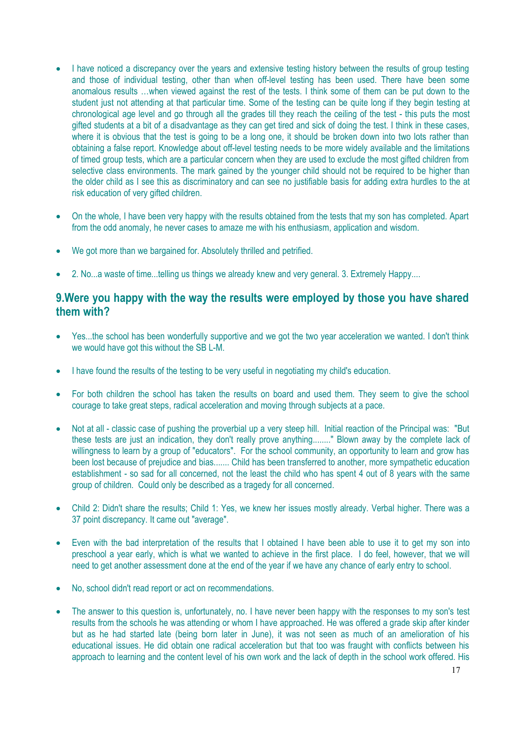- I have noticed a discrepancy over the years and extensive testing history between the results of group testing and those of individual testing, other than when off-level testing has been used. There have been some anomalous results …when viewed against the rest of the tests. I think some of them can be put down to the student just not attending at that particular time. Some of the testing can be quite long if they begin testing at chronological age level and go through all the grades till they reach the ceiling of the test - this puts the most gifted students at a bit of a disadvantage as they can get tired and sick of doing the test. I think in these cases, where it is obvious that the test is going to be a long one, it should be broken down into two lots rather than obtaining a false report. Knowledge about off-level testing needs to be more widely available and the limitations of timed group tests, which are a particular concern when they are used to exclude the most gifted children from selective class environments. The mark gained by the younger child should not be required to be higher than the older child as I see this as discriminatory and can see no justifiable basis for adding extra hurdles to the at risk education of very gifted children.
- On the whole, I have been very happy with the results obtained from the tests that my son has completed. Apart from the odd anomaly, he never cases to amaze me with his enthusiasm, application and wisdom.
- We got more than we bargained for. Absolutely thrilled and petrified.
- 2. No...a waste of time...telling us things we already knew and very general. 3. Extremely Happy....

#### **9.Were you happy with the way the results were employed by those you have shared them with?**

- Yes...the school has been wonderfully supportive and we got the two year acceleration we wanted. I don't think we would have got this without the SB L-M.
- I have found the results of the testing to be very useful in negotiating my child's education.
- For both children the school has taken the results on board and used them. They seem to give the school courage to take great steps, radical acceleration and moving through subjects at a pace.
- Not at all classic case of pushing the proverbial up a very steep hill. Initial reaction of the Principal was: "But these tests are just an indication, they don't really prove anything........" Blown away by the complete lack of willingness to learn by a group of "educators". For the school community, an opportunity to learn and grow has been lost because of prejudice and bias....... Child has been transferred to another, more sympathetic education establishment - so sad for all concerned, not the least the child who has spent 4 out of 8 years with the same group of children. Could only be described as a tragedy for all concerned.
- Child 2: Didn't share the results; Child 1: Yes, we knew her issues mostly already. Verbal higher. There was a 37 point discrepancy. It came out "average".
- Even with the bad interpretation of the results that I obtained I have been able to use it to get my son into preschool a year early, which is what we wanted to achieve in the first place. I do feel, however, that we will need to get another assessment done at the end of the year if we have any chance of early entry to school.
- No, school didn't read report or act on recommendations.
- The answer to this question is, unfortunately, no. I have never been happy with the responses to my son's test results from the schools he was attending or whom I have approached. He was offered a grade skip after kinder but as he had started late (being born later in June), it was not seen as much of an amelioration of his educational issues. He did obtain one radical acceleration but that too was fraught with conflicts between his approach to learning and the content level of his own work and the lack of depth in the school work offered. His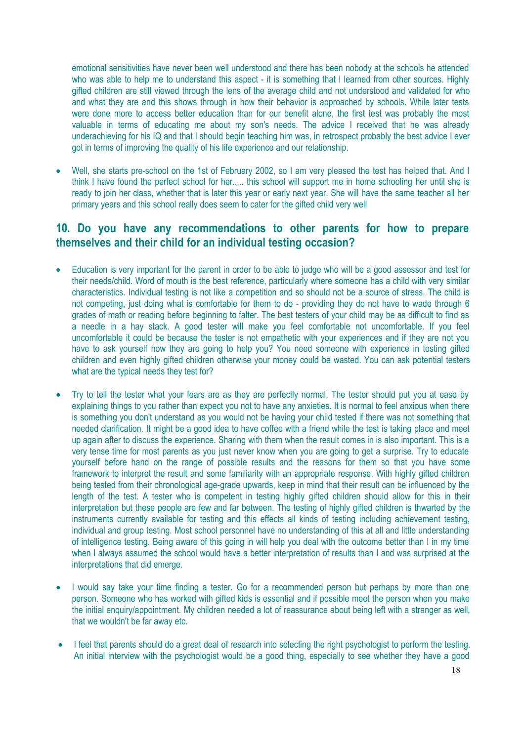emotional sensitivities have never been well understood and there has been nobody at the schools he attended who was able to help me to understand this aspect - it is something that I learned from other sources. Highly gifted children are still viewed through the lens of the average child and not understood and validated for who and what they are and this shows through in how their behavior is approached by schools. While later tests were done more to access better education than for our benefit alone, the first test was probably the most valuable in terms of educating me about my son's needs. The advice I received that he was already underachieving for his IQ and that I should begin teaching him was, in retrospect probably the best advice I ever got in terms of improving the quality of his life experience and our relationship.

 Well, she starts pre-school on the 1st of February 2002, so I am very pleased the test has helped that. And I think I have found the perfect school for her..... this school will support me in home schooling her until she is ready to join her class, whether that is later this year or early next year. She will have the same teacher all her primary years and this school really does seem to cater for the gifted child very well

#### **10. Do you have any recommendations to other parents for how to prepare themselves and their child for an individual testing occasion?**

- Education is very important for the parent in order to be able to judge who will be a good assessor and test for their needs/child. Word of mouth is the best reference, particularly where someone has a child with very similar characteristics. Individual testing is not like a competition and so should not be a source of stress. The child is not competing, just doing what is comfortable for them to do - providing they do not have to wade through 6 grades of math or reading before beginning to falter. The best testers of your child may be as difficult to find as a needle in a hay stack. A good tester will make you feel comfortable not uncomfortable. If you feel uncomfortable it could be because the tester is not empathetic with your experiences and if they are not you have to ask yourself how they are going to help you? You need someone with experience in testing gifted children and even highly gifted children otherwise your money could be wasted. You can ask potential testers what are the typical needs they test for?
- Try to tell the tester what your fears are as they are perfectly normal. The tester should put you at ease by explaining things to you rather than expect you not to have any anxieties. It is normal to feel anxious when there is something you don't understand as you would not be having your child tested if there was not something that needed clarification. It might be a good idea to have coffee with a friend while the test is taking place and meet up again after to discuss the experience. Sharing with them when the result comes in is also important. This is a very tense time for most parents as you just never know when you are going to get a surprise. Try to educate yourself before hand on the range of possible results and the reasons for them so that you have some framework to interpret the result and some familiarity with an appropriate response. With highly gifted children being tested from their chronological age-grade upwards, keep in mind that their result can be influenced by the length of the test. A tester who is competent in testing highly gifted children should allow for this in their interpretation but these people are few and far between. The testing of highly gifted children is thwarted by the instruments currently available for testing and this effects all kinds of testing including achievement testing, individual and group testing. Most school personnel have no understanding of this at all and little understanding of intelligence testing. Being aware of this going in will help you deal with the outcome better than I in my time when I always assumed the school would have a better interpretation of results than I and was surprised at the interpretations that did emerge.
- I would say take your time finding a tester. Go for a recommended person but perhaps by more than one person. Someone who has worked with gifted kids is essential and if possible meet the person when you make the initial enquiry/appointment. My children needed a lot of reassurance about being left with a stranger as well, that we wouldn't be far away etc.
- I feel that parents should do a great deal of research into selecting the right psychologist to perform the testing. An initial interview with the psychologist would be a good thing, especially to see whether they have a good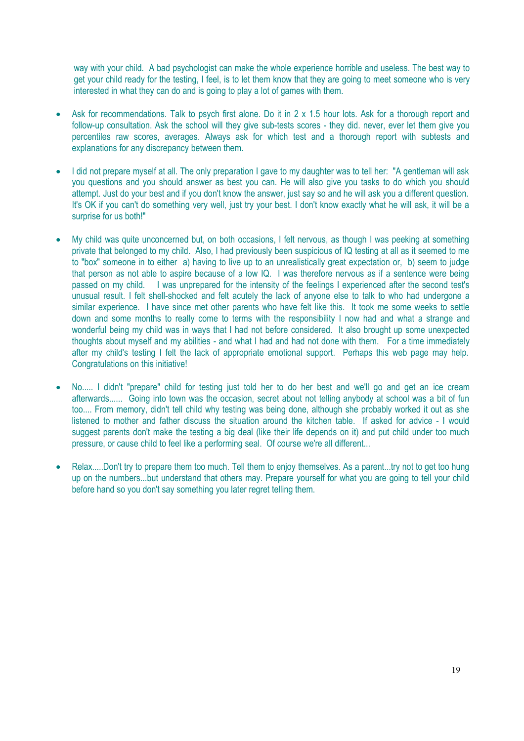way with your child. A bad psychologist can make the whole experience horrible and useless. The best way to get your child ready for the testing, I feel, is to let them know that they are going to meet someone who is very interested in what they can do and is going to play a lot of games with them.

- Ask for recommendations. Talk to psych first alone. Do it in 2 x 1.5 hour lots. Ask for a thorough report and follow-up consultation. Ask the school will they give sub-tests scores - they did. never, ever let them give you percentiles raw scores, averages. Always ask for which test and a thorough report with subtests and explanations for any discrepancy between them.
- I did not prepare myself at all. The only preparation I gave to my daughter was to tell her: "A gentleman will ask you questions and you should answer as best you can. He will also give you tasks to do which you should attempt. Just do your best and if you don't know the answer, just say so and he will ask you a different question. It's OK if you can't do something very well, just try your best. I don't know exactly what he will ask, it will be a surprise for us both!"
- My child was quite unconcerned but, on both occasions, I felt nervous, as though I was peeking at something private that belonged to my child. Also, I had previously been suspicious of IQ testing at all as it seemed to me to "box" someone in to either a) having to live up to an unrealistically great expectation or, b) seem to judge that person as not able to aspire because of a low IQ. I was therefore nervous as if a sentence were being passed on my child. I was unprepared for the intensity of the feelings I experienced after the second test's unusual result. I felt shell-shocked and felt acutely the lack of anyone else to talk to who had undergone a similar experience. I have since met other parents who have felt like this. It took me some weeks to settle down and some months to really come to terms with the responsibility I now had and what a strange and wonderful being my child was in ways that I had not before considered. It also brought up some unexpected thoughts about myself and my abilities - and what I had and had not done with them. For a time immediately after my child's testing I felt the lack of appropriate emotional support. Perhaps this web page may help. Congratulations on this initiative!
- No..... I didn't "prepare" child for testing just told her to do her best and we'll go and get an ice cream afterwards...... Going into town was the occasion, secret about not telling anybody at school was a bit of fun too.... From memory, didn't tell child why testing was being done, although she probably worked it out as she listened to mother and father discuss the situation around the kitchen table. If asked for advice - I would suggest parents don't make the testing a big deal (like their life depends on it) and put child under too much pressure, or cause child to feel like a performing seal. Of course we're all different...
- Relax.....Don't try to prepare them too much. Tell them to enjoy themselves. As a parent...try not to get too hung up on the numbers...but understand that others may. Prepare yourself for what you are going to tell your child before hand so you don't say something you later regret telling them.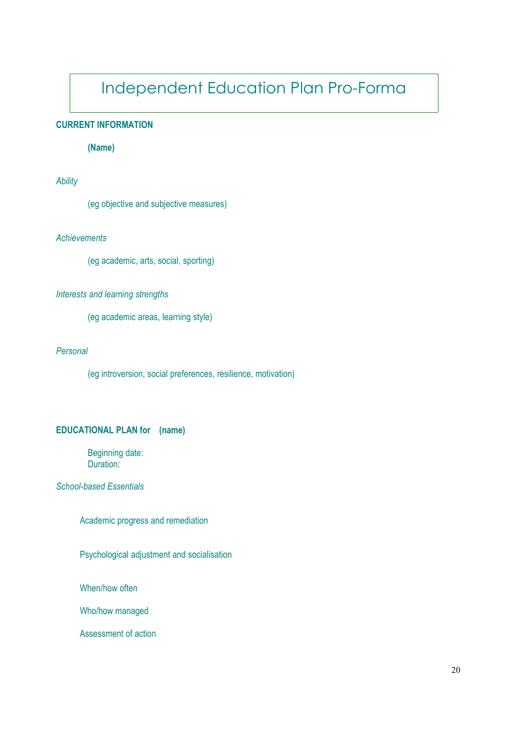# Independent Education Plan Pro-Forma

#### **CURRENT INFORMATION**

#### **(Name)**

#### *Ability*

(eg objective and subjective measures)

#### *Achievements*

(eg academic, arts, social, sporting)

#### *Interests and learning strengths*

(eg academic areas, learning style)

#### *Personal*

(eg introversion, social preferences, resilience, motivation)

#### **EDUCATIONAL PLAN for (name)**

Beginning date: Duration:

*School-based Essentials*

Academic progress and remediation

Psychological adjustment and socialisation

When/how often

Who/how managed

Assessment of action